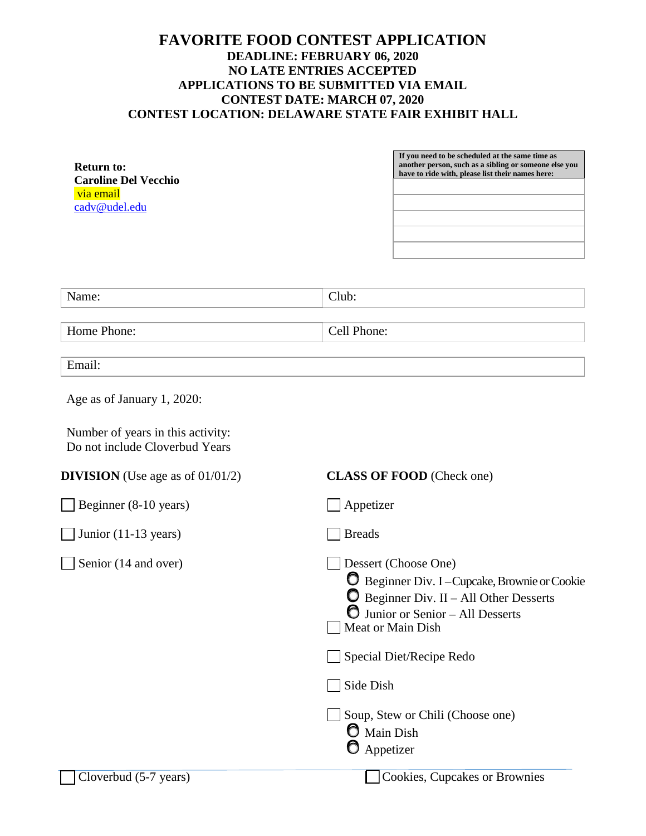## **FAVORITE FOOD CONTEST APPLICATION DEADLINE: FEBRUARY 06, 2020 NO LATE ENTRIES ACCEPTED APPLICATIONS TO BE SUBMITTED VIA EMAIL CONTEST DATE: MARCH 07, 2020 CONTEST LOCATION: DELAWARE STATE FAIR EXHIBIT HALL**

| <b>Caroline Del Vecchio</b><br>via email<br>cady@udel.edu           | have to ride with, please list their names here:                                                                                                                                         |
|---------------------------------------------------------------------|------------------------------------------------------------------------------------------------------------------------------------------------------------------------------------------|
| Name:                                                               | Club:                                                                                                                                                                                    |
| Home Phone:                                                         | Cell Phone:                                                                                                                                                                              |
| Email:                                                              |                                                                                                                                                                                          |
| Age as of January 1, 2020:                                          |                                                                                                                                                                                          |
| Number of years in this activity:<br>Do not include Cloverbud Years |                                                                                                                                                                                          |
| <b>DIVISION</b> (Use age as of $01/01/2$ )                          | <b>CLASS OF FOOD</b> (Check one)                                                                                                                                                         |
| Beginner (8-10 years)                                               | Appetizer                                                                                                                                                                                |
| Junior $(11-13 \text{ years})$                                      | <b>Breads</b>                                                                                                                                                                            |
| Senior (14 and over)                                                | Dessert (Choose One)<br>O Beginner Div. I-Cupcake, Brownie or Cookie<br>$\bullet$ Beginner Div. II – All Other Desserts<br><b>O</b> Junior or Senior - All Desserts<br>Meat or Main Dish |
|                                                                     | Special Diet/Recipe Redo                                                                                                                                                                 |
|                                                                     | Side Dish                                                                                                                                                                                |
|                                                                     | Soup, Stew or Chili (Choose one)<br><b>O</b> Main Dish<br><b>O</b> Appetizer                                                                                                             |

**Return to:**

**If you need to be scheduled at the same time as another person, such as a sibling or someone else you**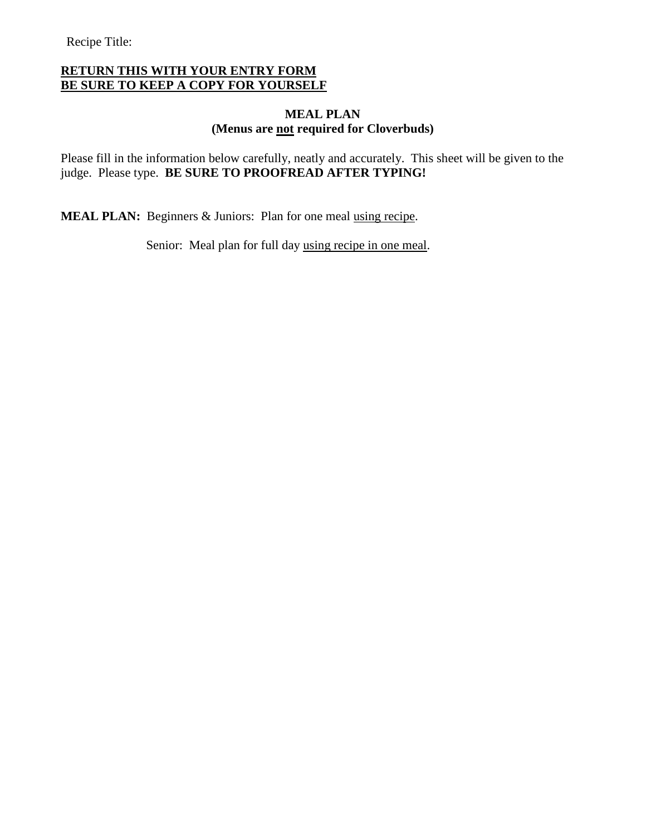Recipe Title:

### **RETURN THIS WITH YOUR ENTRY FORM BE SURE TO KEEP A COPY FOR YOURSELF**

#### **MEAL PLAN (Menus are not required for Cloverbuds)**

Please fill in the information below carefully, neatly and accurately. This sheet will be given to the judge. Please type. **BE SURE TO PROOFREAD AFTER TYPING!** 

**MEAL PLAN:** Beginners & Juniors: Plan for one meal using recipe.

Senior: Meal plan for full day using recipe in one meal.